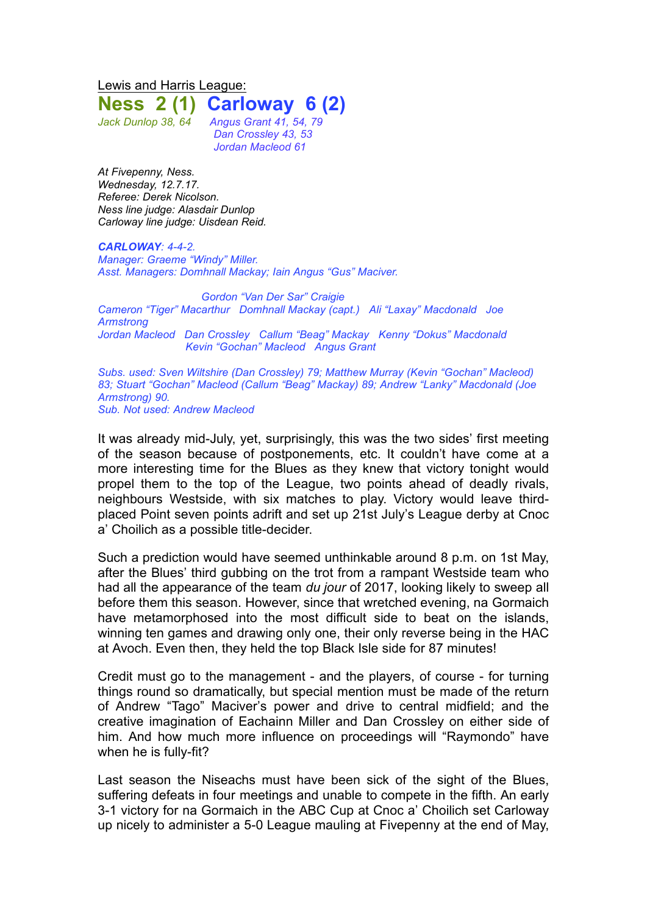Lewis and Harris League: **Ness 2 (1) Carloway 6 (2)**

*Jack Dunlop 38, 64 Angus Grant 41, 54, 79 Dan Crossley 43, 53 Jordan Macleod 61*

*At Fivepenny, Ness. Wednesday, 12.7.17. Referee: Derek Nicolson. Ness line judge: Alasdair Dunlop Carloway line judge: Uisdean Reid.*

*CARLOWAY: 4-4-2. Manager: Graeme "Windy" Miller. Asst. Managers: Domhnall Mackay; Iain Angus "Gus" Maciver.*

*Gordon "Van Der Sar" Craigie Cameron "Tiger" Macarthur Domhnall Mackay (capt.) Ali "Laxay" Macdonald Joe Armstrong Jordan Macleod Dan Crossley Callum "Beag" Mackay Kenny "Dokus" Macdonald Kevin "Gochan" Macleod Angus Grant*

*Subs. used: Sven Wiltshire (Dan Crossley) 79; Matthew Murray (Kevin "Gochan" Macleod) 83; Stuart "Gochan" Macleod (Callum "Beag" Mackay) 89; Andrew "Lanky" Macdonald (Joe Armstrong) 90. Sub. Not used: Andrew Macleod*

It was already mid-July, yet, surprisingly, this was the two sides' first meeting of the season because of postponements, etc. It couldn't have come at a more interesting time for the Blues as they knew that victory tonight would propel them to the top of the League, two points ahead of deadly rivals, neighbours Westside, with six matches to play. Victory would leave thirdplaced Point seven points adrift and set up 21st July's League derby at Cnoc a' Choilich as a possible title-decider.

Such a prediction would have seemed unthinkable around 8 p.m. on 1st May, after the Blues' third gubbing on the trot from a rampant Westside team who had all the appearance of the team *du jour* of 2017, looking likely to sweep all before them this season. However, since that wretched evening, na Gormaich have metamorphosed into the most difficult side to beat on the islands, winning ten games and drawing only one, their only reverse being in the HAC at Avoch. Even then, they held the top Black Isle side for 87 minutes!

Credit must go to the management - and the players, of course - for turning things round so dramatically, but special mention must be made of the return of Andrew "Tago" Maciver's power and drive to central midfield; and the creative imagination of Eachainn Miller and Dan Crossley on either side of him. And how much more influence on proceedings will "Raymondo" have when he is fully-fit?

Last season the Niseachs must have been sick of the sight of the Blues, suffering defeats in four meetings and unable to compete in the fifth. An early 3-1 victory for na Gormaich in the ABC Cup at Cnoc a' Choilich set Carloway up nicely to administer a 5-0 League mauling at Fivepenny at the end of May,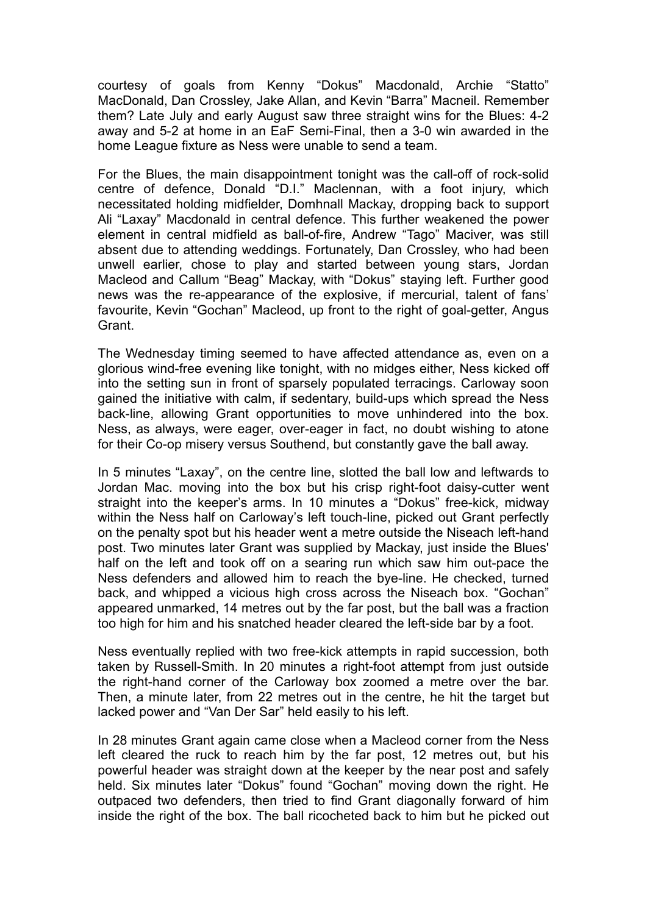courtesy of goals from Kenny "Dokus" Macdonald, Archie "Statto" MacDonald, Dan Crossley, Jake Allan, and Kevin "Barra" Macneil. Remember them? Late July and early August saw three straight wins for the Blues: 4-2 away and 5-2 at home in an EaF Semi-Final, then a 3-0 win awarded in the home League fixture as Ness were unable to send a team.

For the Blues, the main disappointment tonight was the call-off of rock-solid centre of defence, Donald "D.I." Maclennan, with a foot injury, which necessitated holding midfielder, Domhnall Mackay, dropping back to support Ali "Laxay" Macdonald in central defence. This further weakened the power element in central midfield as ball-of-fire, Andrew "Tago" Maciver, was still absent due to attending weddings. Fortunately, Dan Crossley, who had been unwell earlier, chose to play and started between young stars, Jordan Macleod and Callum "Beag" Mackay, with "Dokus" staying left. Further good news was the re-appearance of the explosive, if mercurial, talent of fans' favourite, Kevin "Gochan" Macleod, up front to the right of goal-getter, Angus Grant.

The Wednesday timing seemed to have affected attendance as, even on a glorious wind-free evening like tonight, with no midges either, Ness kicked off into the setting sun in front of sparsely populated terracings. Carloway soon gained the initiative with calm, if sedentary, build-ups which spread the Ness back-line, allowing Grant opportunities to move unhindered into the box. Ness, as always, were eager, over-eager in fact, no doubt wishing to atone for their Co-op misery versus Southend, but constantly gave the ball away.

In 5 minutes "Laxay", on the centre line, slotted the ball low and leftwards to Jordan Mac. moving into the box but his crisp right-foot daisy-cutter went straight into the keeper's arms. In 10 minutes a "Dokus" free-kick, midway within the Ness half on Carloway's left touch-line, picked out Grant perfectly on the penalty spot but his header went a metre outside the Niseach left-hand post. Two minutes later Grant was supplied by Mackay, just inside the Blues' half on the left and took off on a searing run which saw him out-pace the Ness defenders and allowed him to reach the bye-line. He checked, turned back, and whipped a vicious high cross across the Niseach box. "Gochan" appeared unmarked, 14 metres out by the far post, but the ball was a fraction too high for him and his snatched header cleared the left-side bar by a foot.

Ness eventually replied with two free-kick attempts in rapid succession, both taken by Russell-Smith. In 20 minutes a right-foot attempt from just outside the right-hand corner of the Carloway box zoomed a metre over the bar. Then, a minute later, from 22 metres out in the centre, he hit the target but lacked power and "Van Der Sar" held easily to his left.

In 28 minutes Grant again came close when a Macleod corner from the Ness left cleared the ruck to reach him by the far post, 12 metres out, but his powerful header was straight down at the keeper by the near post and safely held. Six minutes later "Dokus" found "Gochan" moving down the right. He outpaced two defenders, then tried to find Grant diagonally forward of him inside the right of the box. The ball ricocheted back to him but he picked out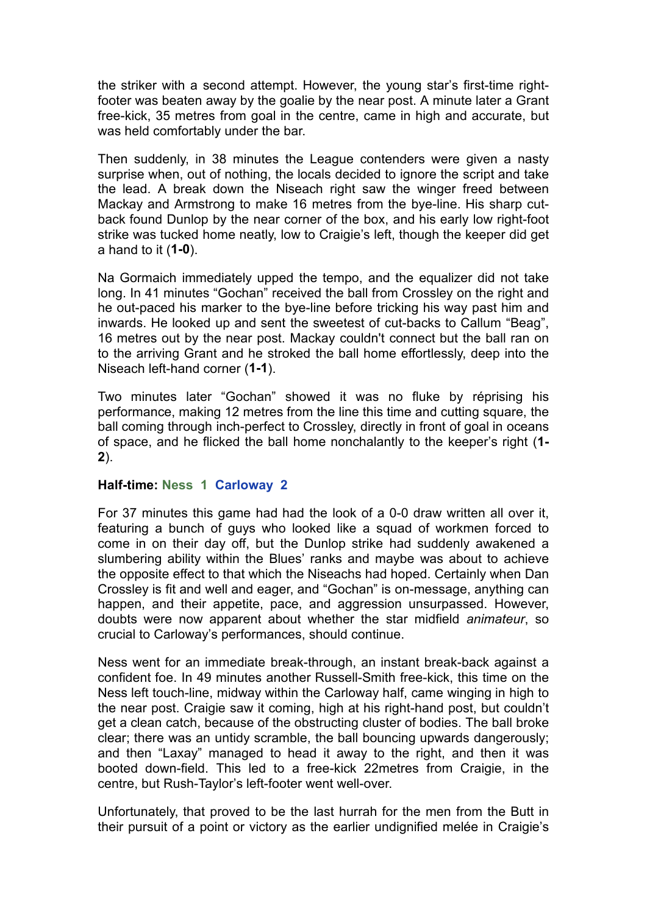the striker with a second attempt. However, the young star's first-time rightfooter was beaten away by the goalie by the near post. A minute later a Grant free-kick, 35 metres from goal in the centre, came in high and accurate, but was held comfortably under the bar.

Then suddenly, in 38 minutes the League contenders were given a nasty surprise when, out of nothing, the locals decided to ignore the script and take the lead. A break down the Niseach right saw the winger freed between Mackay and Armstrong to make 16 metres from the bye-line. His sharp cutback found Dunlop by the near corner of the box, and his early low right-foot strike was tucked home neatly, low to Craigie's left, though the keeper did get a hand to it (**1-0**).

Na Gormaich immediately upped the tempo, and the equalizer did not take long. In 41 minutes "Gochan" received the ball from Crossley on the right and he out-paced his marker to the bye-line before tricking his way past him and inwards. He looked up and sent the sweetest of cut-backs to Callum "Beag", 16 metres out by the near post. Mackay couldn't connect but the ball ran on to the arriving Grant and he stroked the ball home effortlessly, deep into the Niseach left-hand corner (**1-1**).

Two minutes later "Gochan" showed it was no fluke by réprising his performance, making 12 metres from the line this time and cutting square, the ball coming through inch-perfect to Crossley, directly in front of goal in oceans of space, and he flicked the ball home nonchalantly to the keeper's right (**1- 2**).

## **Half-time: Ness 1 Carloway 2**

For 37 minutes this game had had the look of a 0-0 draw written all over it, featuring a bunch of guys who looked like a squad of workmen forced to come in on their day off, but the Dunlop strike had suddenly awakened a slumbering ability within the Blues' ranks and maybe was about to achieve the opposite effect to that which the Niseachs had hoped. Certainly when Dan Crossley is fit and well and eager, and "Gochan" is on-message, anything can happen, and their appetite, pace, and aggression unsurpassed. However, doubts were now apparent about whether the star midfield *animateur*, so crucial to Carloway's performances, should continue.

Ness went for an immediate break-through, an instant break-back against a confident foe. In 49 minutes another Russell-Smith free-kick, this time on the Ness left touch-line, midway within the Carloway half, came winging in high to the near post. Craigie saw it coming, high at his right-hand post, but couldn't get a clean catch, because of the obstructing cluster of bodies. The ball broke clear; there was an untidy scramble, the ball bouncing upwards dangerously; and then "Laxay" managed to head it away to the right, and then it was booted down-field. This led to a free-kick 22metres from Craigie, in the centre, but Rush-Taylor's left-footer went well-over.

Unfortunately, that proved to be the last hurrah for the men from the Butt in their pursuit of a point or victory as the earlier undignified melée in Craigie's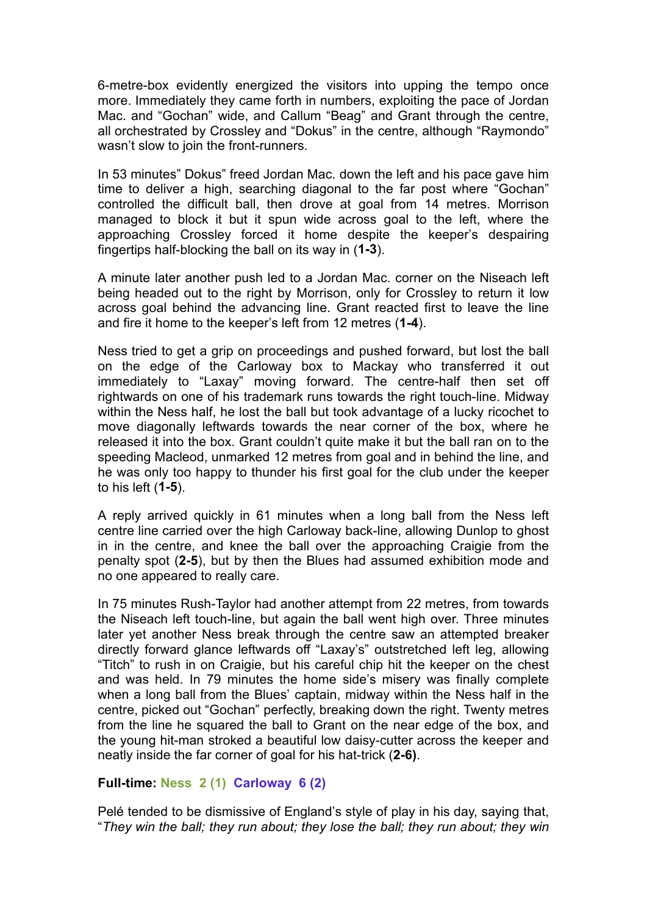6-metre-box evidently energized the visitors into upping the tempo once more. Immediately they came forth in numbers, exploiting the pace of Jordan Mac. and "Gochan" wide, and Callum "Beag" and Grant through the centre, all orchestrated by Crossley and "Dokus" in the centre, although "Raymondo" wasn't slow to join the front-runners.

In 53 minutes" Dokus" freed Jordan Mac. down the left and his pace gave him time to deliver a high, searching diagonal to the far post where "Gochan" controlled the difficult ball, then drove at goal from 14 metres. Morrison managed to block it but it spun wide across goal to the left, where the approaching Crossley forced it home despite the keeper's despairing fingertips half-blocking the ball on its way in (**1-3**).

A minute later another push led to a Jordan Mac. corner on the Niseach left being headed out to the right by Morrison, only for Crossley to return it low across goal behind the advancing line. Grant reacted first to leave the line and fire it home to the keeper's left from 12 metres (**1-4**).

Ness tried to get a grip on proceedings and pushed forward, but lost the ball on the edge of the Carloway box to Mackay who transferred it out immediately to "Laxay" moving forward. The centre-half then set off rightwards on one of his trademark runs towards the right touch-line. Midway within the Ness half, he lost the ball but took advantage of a lucky ricochet to move diagonally leftwards towards the near corner of the box, where he released it into the box. Grant couldn't quite make it but the ball ran on to the speeding Macleod, unmarked 12 metres from goal and in behind the line, and he was only too happy to thunder his first goal for the club under the keeper to his left (**1-5**).

A reply arrived quickly in 61 minutes when a long ball from the Ness left centre line carried over the high Carloway back-line, allowing Dunlop to ghost in in the centre, and knee the ball over the approaching Craigie from the penalty spot (**2-5**), but by then the Blues had assumed exhibition mode and no one appeared to really care.

In 75 minutes Rush-Taylor had another attempt from 22 metres, from towards the Niseach left touch-line, but again the ball went high over. Three minutes later yet another Ness break through the centre saw an attempted breaker directly forward glance leftwards off "Laxay's" outstretched left leg, allowing "Titch" to rush in on Craigie, but his careful chip hit the keeper on the chest and was held. In 79 minutes the home side's misery was finally complete when a long ball from the Blues' captain, midway within the Ness half in the centre, picked out "Gochan" perfectly, breaking down the right. Twenty metres from the line he squared the ball to Grant on the near edge of the box, and the young hit-man stroked a beautiful low daisy-cutter across the keeper and neatly inside the far corner of goal for his hat-trick (**2-6)**.

## **Full-time: Ness 2 (1) Carloway 6 (2)**

Pelé tended to be dismissive of England's style of play in his day, saying that, "*They win the ball; they run about; they lose the ball; they run about; they win*